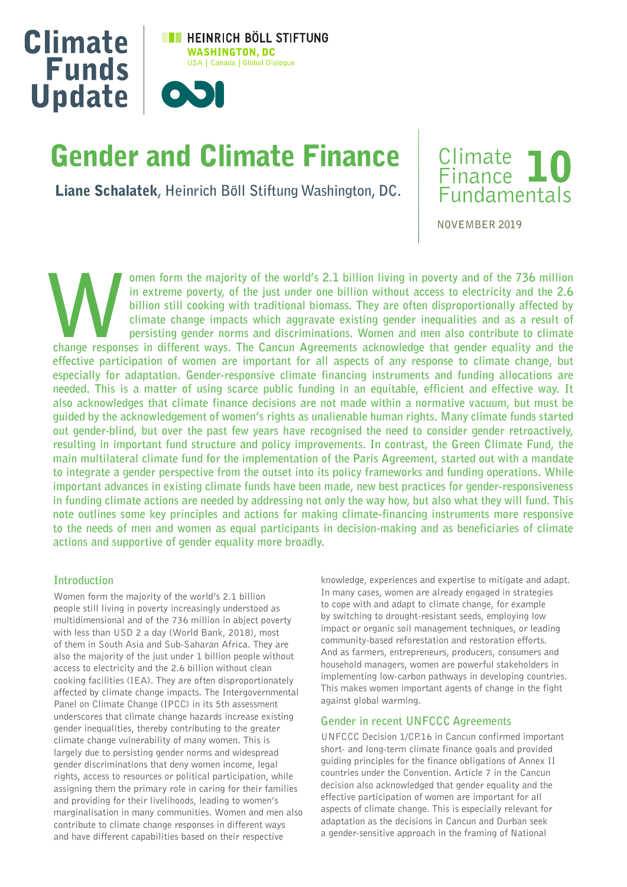

# Gender and Climate Finance

Liane Schalatek**, Heinrich Böll Stiftung Washington, DC.**



**NOVEMBER 2019**

omen form the majority of the world's 2.1 billion living in poverty and of the 736 million **in extreme poverty, of the just under one billion without access to electricity and the 2.6 billion still cooking with traditional biomass. They are often disproportionally affected by climate change impacts which aggravate existing gender inequalities and as a result of persisting gender norms and discriminations. Women and men also contribute to climate change responses in different ways. The Cancun Agreements acknowledge that gender equality and the effective participation of women are important for all aspects of any response to climate change, but especially for adaptation. Gender-responsive climate financing instruments and funding allocations are needed. This is a matter of using scarce public funding in an equitable, efficient and effective way. It also acknowledges that climate finance decisions are not made within a normative vacuum, but must be guided by the acknowledgement of women's rights as unalienable human rights. Many climate funds started out gender-blind, but over the past few years have recognised the need to consider gender retroactively, resulting in important fund structure and policy improvements. In contrast, the Green Climate Fund, the main multilateral climate fund for the implementation of the Paris Agreement, started out with a mandate to integrate a gender perspective from the outset into its policy frameworks and funding operations. While important advances in existing climate funds have been made, new best practices for gender-responsiveness in funding climate actions are needed by addressing not only the way how, but also what they will fund. This note outlines some key principles and actions for making climate-financing instruments more responsive to the needs of men and women as equal participants in decision-making and as beneficiaries of climate actions and supportive of gender equality more broadly.**

#### **Introduction**

Women form the majority of the world's 2.1 billion people still living in poverty increasingly understood as multidimensional and of the 736 million in abject poverty with less than USD 2 a day (World Bank, 2018), most of them in South Asia and Sub-Saharan Africa. They are also the majority of the just under 1 billion people without access to electricity and the 2.6 billion without clean cooking facilities (IEA). They are often disproportionately affected by climate change impacts. The Intergovernmental Panel on Climate Change (IPCC) in its 5th assessment underscores that climate change hazards increase existing gender inequalities, thereby contributing to the greater climate change vulnerability of many women. This is largely due to persisting gender norms and widespread gender discriminations that deny women income, legal rights, access to resources or political participation, while assigning them the primary role in caring for their families and providing for their livelihoods, leading to women's marginalisation in many communities. Women and men also contribute to climate change responses in different ways and have different capabilities based on their respective

knowledge, experiences and expertise to mitigate and adapt. In many cases, women are already engaged in strategies to cope with and adapt to climate change, for example by switching to drought-resistant seeds, employing low impact or organic soil management techniques, or leading community-based reforestation and restoration efforts. And as farmers, entrepreneurs, producers, consumers and household managers, women are powerful stakeholders in implementing low-carbon pathways in developing countries. This makes women important agents of change in the fight against global warming.

## **Gender in recent UNFCCC Agreements**

UNFCCC Decision 1/CP.16 in Cancun confirmed important short- and long-term climate finance goals and provided guiding principles for the finance obligations of Annex II countries under the Convention. Article 7 in the Cancun decision also acknowledged that gender equality and the effective participation of women are important for all aspects of climate change. This is especially relevant for adaptation as the decisions in Cancun and Durban seek a gender-sensitive approach in the framing of National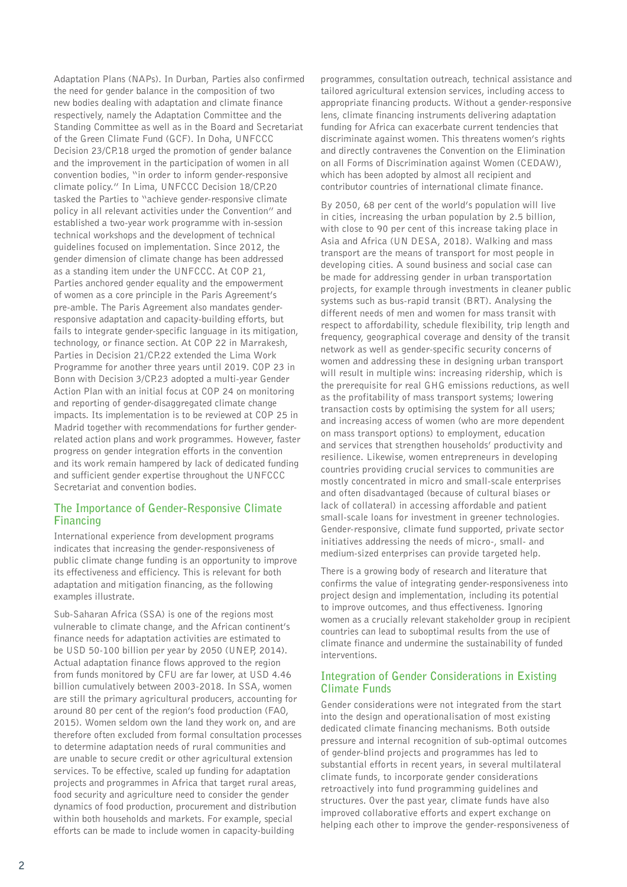Adaptation Plans (NAPs). In Durban, Parties also confirmed the need for gender balance in the composition of two new bodies dealing with adaptation and climate finance respectively, namely the Adaptation Committee and the Standing Committee as well as in the Board and Secretariat of the Green Climate Fund (GCF). In Doha, UNFCCC Decision 23/CP.18 urged the promotion of gender balance and the improvement in the participation of women in all convention bodies, "in order to inform gender-responsive climate policy." In Lima, UNFCCC Decision 18/CP.20 tasked the Parties to "achieve gender-responsive climate policy in all relevant activities under the Convention" and established a two-year work programme with in-session technical workshops and the development of technical guidelines focused on implementation. Since 2012, the gender dimension of climate change has been addressed as a standing item under the UNFCCC. At COP 21, Parties anchored gender equality and the empowerment of women as a core principle in the Paris Agreement's pre-amble. The Paris Agreement also mandates genderresponsive adaptation and capacity-building efforts, but fails to integrate gender-specific language in its mitigation, technology, or finance section. At COP 22 in Marrakesh, Parties in Decision 21/CP.22 extended the Lima Work Programme for another three years until 2019. COP 23 in Bonn with Decision 3/CP.23 adopted a multi-year Gender Action Plan with an initial focus at COP 24 on monitoring and reporting of gender-disaggregated climate change impacts. Its implementation is to be reviewed at COP 25 in Madrid together with recommendations for further genderrelated action plans and work programmes. However, faster progress on gender integration efforts in the convention and its work remain hampered by lack of dedicated funding and sufficient gender expertise throughout the UNFCCC Secretariat and convention bodies.

## **The Importance of Gender-Responsive Climate Financing**

International experience from development programs indicates that increasing the gender-responsiveness of public climate change funding is an opportunity to improve its effectiveness and efficiency. This is relevant for both adaptation and mitigation financing, as the following examples illustrate.

Sub-Saharan Africa (SSA) is one of the regions most vulnerable to climate change, and the African continent's finance needs for adaptation activities are estimated to be USD 50-100 billion per year by 2050 (UNEP, 2014). Actual adaptation finance flows approved to the region from funds monitored by CFU are far lower, at USD 4.46 billion cumulatively between 2003-2018. In SSA, women are still the primary agricultural producers, accounting for around 80 per cent of the region's food production (FAO, 2015). Women seldom own the land they work on, and are therefore often excluded from formal consultation processes to determine adaptation needs of rural communities and are unable to secure credit or other agricultural extension services. To be effective, scaled up funding for adaptation projects and programmes in Africa that target rural areas, food security and agriculture need to consider the gender dynamics of food production, procurement and distribution within both households and markets. For example, special efforts can be made to include women in capacity-building

programmes, consultation outreach, technical assistance and tailored agricultural extension services, including access to appropriate financing products. Without a gender-responsive lens, climate financing instruments delivering adaptation funding for Africa can exacerbate current tendencies that discriminate against women. This threatens women's rights and directly contravenes the Convention on the Elimination on all Forms of Discrimination against Women (CEDAW), which has been adopted by almost all recipient and contributor countries of international climate finance.

By 2050, 68 per cent of the world's population will live in cities, increasing the urban population by 2.5 billion, with close to 90 per cent of this increase taking place in Asia and Africa (UN DESA, 2018). Walking and mass transport are the means of transport for most people in developing cities. A sound business and social case can be made for addressing gender in urban transportation projects, for example through investments in cleaner public systems such as bus-rapid transit (BRT). Analysing the different needs of men and women for mass transit with respect to affordability, schedule flexibility, trip length and frequency, geographical coverage and density of the transit network as well as gender-specific security concerns of women and addressing these in designing urban transport will result in multiple wins: increasing ridership, which is the prerequisite for real GHG emissions reductions, as well as the profitability of mass transport systems; lowering transaction costs by optimising the system for all users; and increasing access of women (who are more dependent on mass transport options) to employment, education and services that strengthen households' productivity and resilience. Likewise, women entrepreneurs in developing countries providing crucial services to communities are mostly concentrated in micro and small-scale enterprises and often disadvantaged (because of cultural biases or lack of collateral) in accessing affordable and patient small-scale loans for investment in greener technologies. Gender-responsive, climate fund supported, private sector initiatives addressing the needs of micro-, small- and medium-sized enterprises can provide targeted help.

There is a growing body of research and literature that confirms the value of integrating gender-responsiveness into project design and implementation, including its potential to improve outcomes, and thus effectiveness. Ignoring women as a crucially relevant stakeholder group in recipient countries can lead to suboptimal results from the use of climate finance and undermine the sustainability of funded interventions.

## **Integration of Gender Considerations in Existing Climate Funds**

Gender considerations were not integrated from the start into the design and operationalisation of most existing dedicated climate financing mechanisms. Both outside pressure and internal recognition of sub-optimal outcomes of gender-blind projects and programmes has led to substantial efforts in recent years, in several multilateral climate funds, to incorporate gender considerations retroactively into fund programming guidelines and structures. Over the past year, climate funds have also improved collaborative efforts and expert exchange on helping each other to improve the gender-responsiveness of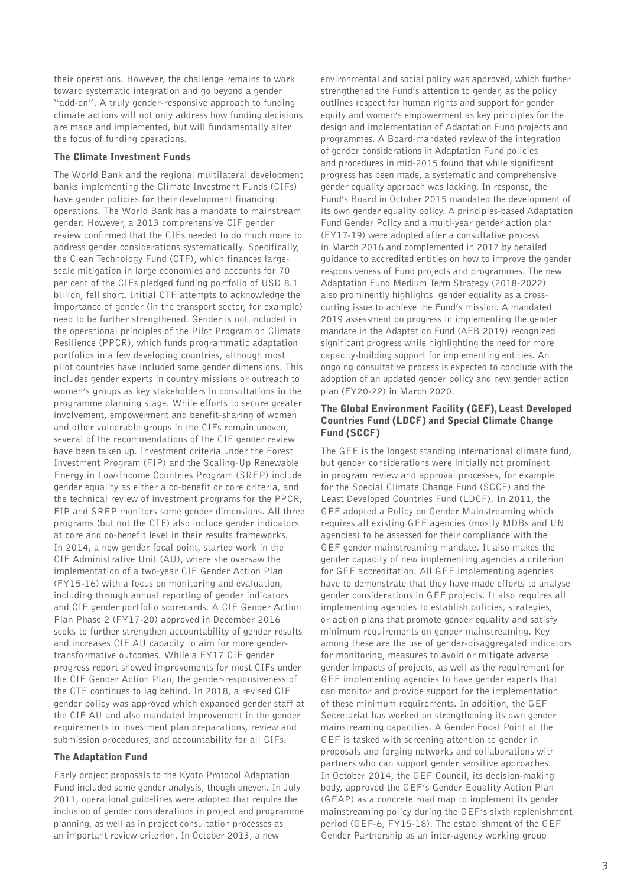their operations. However, the challenge remains to work toward systematic integration and go beyond a gender "add-on". A truly gender-responsive approach to funding climate actions will not only address how funding decisions are made and implemented, but will fundamentally alter the focus of funding operations.

#### The Climate Investment Funds

The World Bank and the regional multilateral development banks implementing the Climate Investment Funds (CIFs) have gender policies for their development financing operations. The World Bank has a mandate to mainstream gender. However, a 2013 comprehensive CIF gender review confirmed that the CIFs needed to do much more to address gender considerations systematically. Specifically, the Clean Technology Fund (CTF), which finances largescale mitigation in large economies and accounts for 70 per cent of the CIFs pledged funding portfolio of USD 8.1 billion, fell short. Initial CTF attempts to acknowledge the importance of gender (in the transport sector, for example) need to be further strengthened. Gender is not included in the operational principles of the Pilot Program on Climate Resilience (PPCR), which funds programmatic adaptation portfolios in a few developing countries, although most pilot countries have included some gender dimensions. This includes gender experts in country missions or outreach to women's groups as key stakeholders in consultations in the programme planning stage. While efforts to secure greater involvement, empowerment and benefit-sharing of women and other vulnerable groups in the CIFs remain uneven, several of the recommendations of the CIF gender review have been taken up. Investment criteria under the Forest Investment Program (FIP) and the Scaling-Up Renewable Energy in Low-Income Countries Program (SREP) include gender equality as either a co-benefit or core criteria, and the technical review of investment programs for the PPCR, FIP and SREP monitors some gender dimensions. All three programs (but not the CTF) also include gender indicators at core and co-benefit level in their results frameworks. In 2014, a new gender focal point, started work in the CIF Administrative Unit (AU), where she oversaw the implementation of a two-year CIF Gender Action Plan (FY15-16) with a focus on monitoring and evaluation, including through annual reporting of gender indicators and CIF gender portfolio scorecards. A CIF Gender Action Plan Phase 2 (FY17-20) approved in December 2016 seeks to further strengthen accountability of gender results and increases CIF AU capacity to aim for more gendertransformative outcomes. While a FY17 CIF gender progress report showed improvements for most CIFs under the CIF Gender Action Plan, the gender-responsiveness of the CTF continues to lag behind. In 2018, a revised CIF gender policy was approved which expanded gender staff at the CIF AU and also mandated improvement in the gender requirements in investment plan preparations, review and submission procedures, and accountability for all CIFs.

#### The Adaptation Fund

Early project proposals to the Kyoto Protocol Adaptation Fund included some gender analysis, though uneven. In July 2011, operational guidelines were adopted that require the inclusion of gender considerations in project and programme planning, as well as in project consultation processes as an important review criterion. In October 2013, a new

environmental and social policy was approved, which further strengthened the Fund's attention to gender, as the policy outlines respect for human rights and support for gender equity and women's empowerment as key principles for the design and implementation of Adaptation Fund projects and programmes. A Board-mandated review of the integration of gender considerations in Adaptation Fund policies and procedures in mid-2015 found that while significant progress has been made, a systematic and comprehensive gender equality approach was lacking. In response, the Fund's Board in October 2015 mandated the development of its own gender equality policy. A principles-based Adaptation Fund Gender Policy and a multi-year gender action plan (FY17-19) were adopted after a consultative process in March 2016 and complemented in 2017 by detailed guidance to accredited entities on how to improve the gender responsiveness of Fund projects and programmes. The new Adaptation Fund Medium Term Strategy (2018-2022) also prominently highlights gender equality as a crosscutting issue to achieve the Fund's mission. A mandated 2019 assessment on progress in implementing the gender mandate in the Adaptation Fund (AFB 2019) recognized significant progress while highlighting the need for more capacity-building support for implementing entities. An ongoing consultative process is expected to conclude with the adoption of an updated gender policy and new gender action plan (FY20-22) in March 2020.

### The Global Environment Facility (GEF), Least Developed Countries Fund (LDCF) and Special Climate Change Fund (SCCF)

The GEF is the longest standing international climate fund, but gender considerations were initially not prominent in program review and approval processes, for example for the Special Climate Change Fund (SCCF) and the Least Developed Countries Fund (LDCF). In 2011, the GEF adopted a Policy on Gender Mainstreaming which requires all existing GEF agencies (mostly MDBs and UN agencies) to be assessed for their compliance with the GEF gender mainstreaming mandate. It also makes the gender capacity of new implementing agencies a criterion for GEF accreditation. All GEF implementing agencies have to demonstrate that they have made efforts to analyse gender considerations in GEF projects. It also requires all implementing agencies to establish policies, strategies, or action plans that promote gender equality and satisfy minimum requirements on gender mainstreaming. Key among these are the use of gender-disaggregated indicators for monitoring, measures to avoid or mitigate adverse gender impacts of projects, as well as the requirement for GEF implementing agencies to have gender experts that can monitor and provide support for the implementation of these minimum requirements. In addition, the GEF Secretariat has worked on strengthening its own gender mainstreaming capacities. A Gender Focal Point at the GEF is tasked with screening attention to gender in proposals and forging networks and collaborations with partners who can support gender sensitive approaches. In October 2014, the GEF Council, its decision-making body, approved the GEF's Gender Equality Action Plan (GEAP) as a concrete road map to implement its gender mainstreaming policy during the GEF's sixth replenishment period (GEF-6, FY15-18). The establishment of the GEF Gender Partnership as an inter-agency working group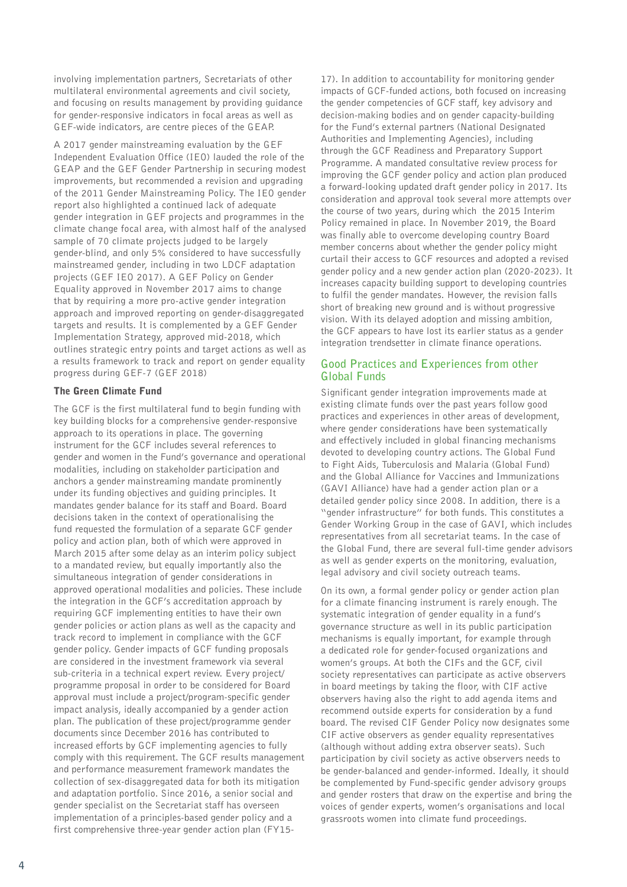involving implementation partners, Secretariats of other multilateral environmental agreements and civil society, and focusing on results management by providing guidance for gender-responsive indicators in focal areas as well as GEF-wide indicators, are centre pieces of the GEAP.

A 2017 gender mainstreaming evaluation by the GEF Independent Evaluation Office (IEO) lauded the role of the GEAP and the GEF Gender Partnership in securing modest improvements, but recommended a revision and upgrading of the 2011 Gender Mainstreaming Policy. The IEO gender report also highlighted a continued lack of adequate gender integration in GEF projects and programmes in the climate change focal area, with almost half of the analysed sample of 70 climate projects judged to be largely gender-blind, and only 5% considered to have successfully mainstreamed gender, including in two LDCF adaptation projects (GEF IEO 2017). A GEF Policy on Gender Equality approved in November 2017 aims to change that by requiring a more pro-active gender integration approach and improved reporting on gender-disaggregated targets and results. It is complemented by a GEF Gender Implementation Strategy, approved mid-2018, which outlines strategic entry points and target actions as well as a results framework to track and report on gender equality progress during GEF-7 (GEF 2018)

#### The Green Climate Fund

The GCF is the first multilateral fund to begin funding with key building blocks for a comprehensive gender-responsive approach to its operations in place. The governing instrument for the GCF includes several references to gender and women in the Fund's governance and operational modalities, including on stakeholder participation and anchors a gender mainstreaming mandate prominently under its funding objectives and guiding principles. It mandates gender balance for its staff and Board. Board decisions taken in the context of operationalising the fund requested the formulation of a separate GCF gender policy and action plan, both of which were approved in March 2015 after some delay as an interim policy subject to a mandated review, but equally importantly also the simultaneous integration of gender considerations in approved operational modalities and policies. These include the integration in the GCF's accreditation approach by requiring GCF implementing entities to have their own gender policies or action plans as well as the capacity and track record to implement in compliance with the GCF gender policy. Gender impacts of GCF funding proposals are considered in the investment framework via several sub-criteria in a technical expert review. Every project/ programme proposal in order to be considered for Board approval must include a project/program-specific gender impact analysis, ideally accompanied by a gender action plan. The publication of these project/programme gender documents since December 2016 has contributed to increased efforts by GCF implementing agencies to fully comply with this requirement. The GCF results management and performance measurement framework mandates the collection of sex-disaggregated data for both its mitigation and adaptation portfolio. Since 2016, a senior social and gender specialist on the Secretariat staff has overseen implementation of a principles-based gender policy and a first comprehensive three-year gender action plan (FY15-

17). In addition to accountability for monitoring gender impacts of GCF-funded actions, both focused on increasing the gender competencies of GCF staff, key advisory and decision-making bodies and on gender capacity-building for the Fund's external partners (National Designated Authorities and Implementing Agencies), including through the GCF Readiness and Preparatory Support Programme. A mandated consultative review process for improving the GCF gender policy and action plan produced a forward-looking updated draft gender policy in 2017. Its consideration and approval took several more attempts over the course of two years, during which the 2015 Interim Policy remained in place. In November 2019, the Board was finally able to overcome developing country Board member concerns about whether the gender policy might curtail their access to GCF resources and adopted a revised gender policy and a new gender action plan (2020-2023). It increases capacity building support to developing countries to fulfil the gender mandates. However, the revision falls short of breaking new ground and is without progressive vision. With its delayed adoption and missing ambition, the GCF appears to have lost its earlier status as a gender integration trendsetter in climate finance operations.

## **Good Practices and Experiences from other Global Funds**

Significant gender integration improvements made at existing climate funds over the past years follow good practices and experiences in other areas of development, where gender considerations have been systematically and effectively included in global financing mechanisms devoted to developing country actions. The Global Fund to Fight Aids, Tuberculosis and Malaria (Global Fund) and the Global Alliance for Vaccines and Immunizations (GAVI Alliance) have had a gender action plan or a detailed gender policy since 2008. In addition, there is a "gender infrastructure" for both funds. This constitutes a Gender Working Group in the case of GAVI, which includes representatives from all secretariat teams. In the case of the Global Fund, there are several full-time gender advisors as well as gender experts on the monitoring, evaluation, legal advisory and civil society outreach teams.

On its own, a formal gender policy or gender action plan for a climate financing instrument is rarely enough. The systematic integration of gender equality in a fund's governance structure as well in its public participation mechanisms is equally important, for example through a dedicated role for gender-focused organizations and women's groups. At both the CIFs and the GCF, civil society representatives can participate as active observers in board meetings by taking the floor, with CIF active observers having also the right to add agenda items and recommend outside experts for consideration by a fund board. The revised CIF Gender Policy now designates some CIF active observers as gender equality representatives (although without adding extra observer seats). Such participation by civil society as active observers needs to be gender-balanced and gender-informed. Ideally, it should be complemented by Fund-specific gender advisory groups and gender rosters that draw on the expertise and bring the voices of gender experts, women's organisations and local grassroots women into climate fund proceedings.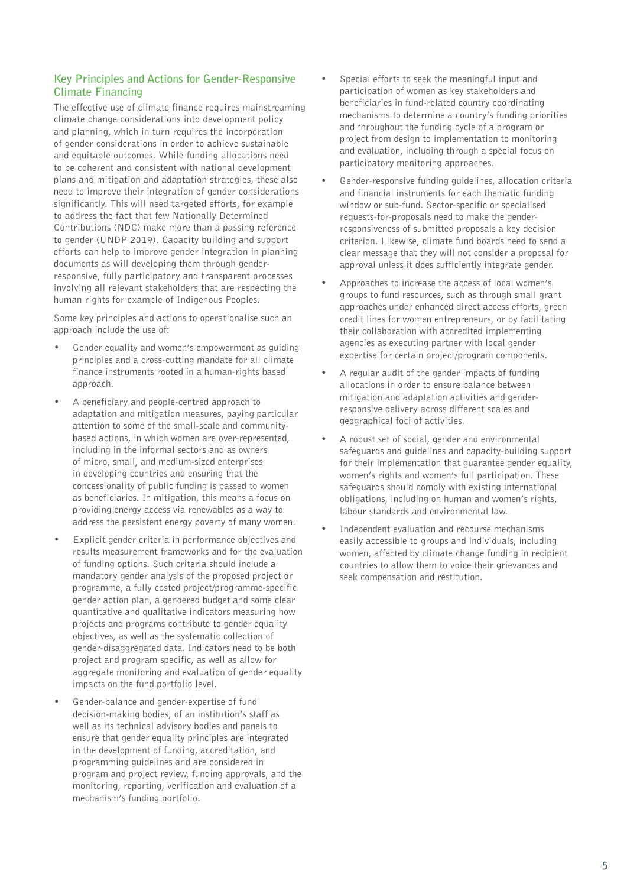## **Key Principles and Actions for Gender-Responsive Climate Financing**

The effective use of climate finance requires mainstreaming climate change considerations into development policy and planning, which in turn requires the incorporation of gender considerations in order to achieve sustainable and equitable outcomes. While funding allocations need to be coherent and consistent with national development plans and mitigation and adaptation strategies, these also need to improve their integration of gender considerations significantly. This will need targeted efforts, for example to address the fact that few Nationally Determined Contributions (NDC) make more than a passing reference to gender (UNDP 2019). Capacity building and support efforts can help to improve gender integration in planning documents as will developing them through genderresponsive, fully participatory and transparent processes involving all relevant stakeholders that are respecting the human rights for example of Indigenous Peoples.

Some key principles and actions to operationalise such an approach include the use of:

- Gender equality and women's empowerment as guiding principles and a cross-cutting mandate for all climate finance instruments rooted in a human-rights based approach.
- A beneficiary and people-centred approach to adaptation and mitigation measures, paying particular attention to some of the small-scale and communitybased actions, in which women are over-represented, including in the informal sectors and as owners of micro, small, and medium-sized enterprises in developing countries and ensuring that the concessionality of public funding is passed to women as beneficiaries. In mitigation, this means a focus on providing energy access via renewables as a way to address the persistent energy poverty of many women.
- Explicit gender criteria in performance objectives and results measurement frameworks and for the evaluation of funding options. Such criteria should include a mandatory gender analysis of the proposed project or programme, a fully costed project/programme-specific gender action plan, a gendered budget and some clear quantitative and qualitative indicators measuring how projects and programs contribute to gender equality objectives, as well as the systematic collection of gender-disaggregated data. Indicators need to be both project and program specific, as well as allow for aggregate monitoring and evaluation of gender equality impacts on the fund portfolio level.
- Gender-balance and gender-expertise of fund decision-making bodies, of an institution's staff as well as its technical advisory bodies and panels to ensure that gender equality principles are integrated in the development of funding, accreditation, and programming guidelines and are considered in program and project review, funding approvals, and the monitoring, reporting, verification and evaluation of a mechanism's funding portfolio.
- Special efforts to seek the meaningful input and participation of women as key stakeholders and beneficiaries in fund-related country coordinating mechanisms to determine a country's funding priorities and throughout the funding cycle of a program or project from design to implementation to monitoring and evaluation, including through a special focus on participatory monitoring approaches.
- Gender-responsive funding guidelines, allocation criteria and financial instruments for each thematic funding window or sub-fund. Sector-specific or specialised requests-for-proposals need to make the genderresponsiveness of submitted proposals a key decision criterion. Likewise, climate fund boards need to send a clear message that they will not consider a proposal for approval unless it does sufficiently integrate gender.
- Approaches to increase the access of local women's groups to fund resources, such as through small grant approaches under enhanced direct access efforts, green credit lines for women entrepreneurs, or by facilitating their collaboration with accredited implementing agencies as executing partner with local gender expertise for certain project/program components.
- A regular audit of the gender impacts of funding allocations in order to ensure balance between mitigation and adaptation activities and genderresponsive delivery across different scales and geographical foci of activities.
- A robust set of social, gender and environmental safeguards and guidelines and capacity-building support for their implementation that guarantee gender equality, women's rights and women's full participation. These safeguards should comply with existing international obligations, including on human and women's rights, labour standards and environmental law.
- Independent evaluation and recourse mechanisms easily accessible to groups and individuals, including women, affected by climate change funding in recipient countries to allow them to voice their grievances and seek compensation and restitution.